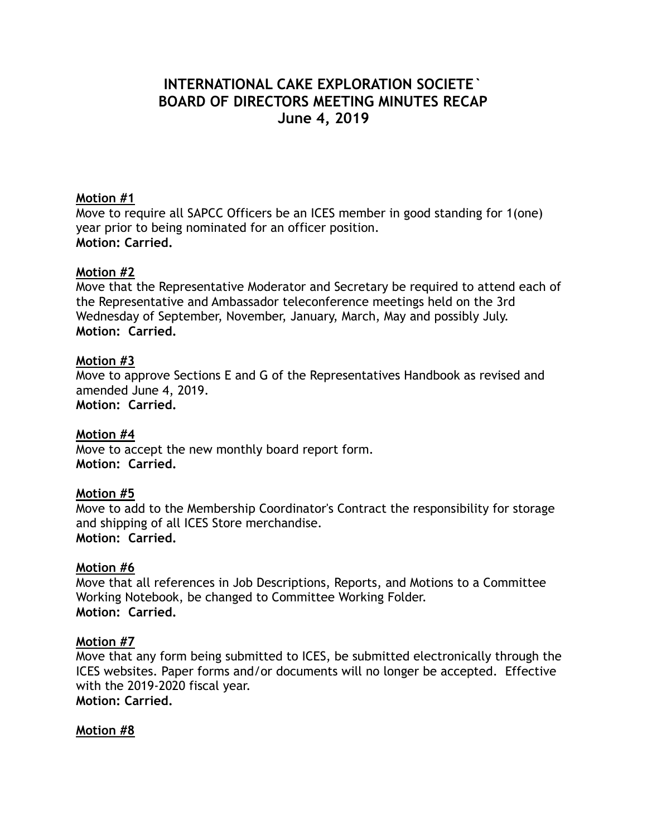# **INTERNATIONAL CAKE EXPLORATION SOCIETE` BOARD OF DIRECTORS MEETING MINUTES RECAP June 4, 2019**

### **Motion #1**

Move to require all SAPCC Officers be an ICES member in good standing for 1(one) year prior to being nominated for an officer position. **Motion: Carried.** 

### **Motion #2**

Move that the Representative Moderator and Secretary be required to attend each of the Representative and Ambassador teleconference meetings held on the 3rd Wednesday of September, November, January, March, May and possibly July. **Motion: Carried.** 

### **Motion #3**

Move to approve Sections E and G of the Representatives Handbook as revised and amended June 4, 2019. **Motion: Carried.**

### **Motion #4**

Move to accept the new monthly board report form. **Motion: Carried.** 

### **Motion #5**

Move to add to the Membership Coordinator's Contract the responsibility for storage and shipping of all ICES Store merchandise. **Motion: Carried.**

### **Motion #6**

Move that all references in Job Descriptions, Reports, and Motions to a Committee Working Notebook, be changed to Committee Working Folder. **Motion: Carried.** 

### **Motion #7**

Move that any form being submitted to ICES, be submitted electronically through the ICES websites. Paper forms and/or documents will no longer be accepted. Effective with the 2019-2020 fiscal year. **Motion: Carried.**

### **Motion #8**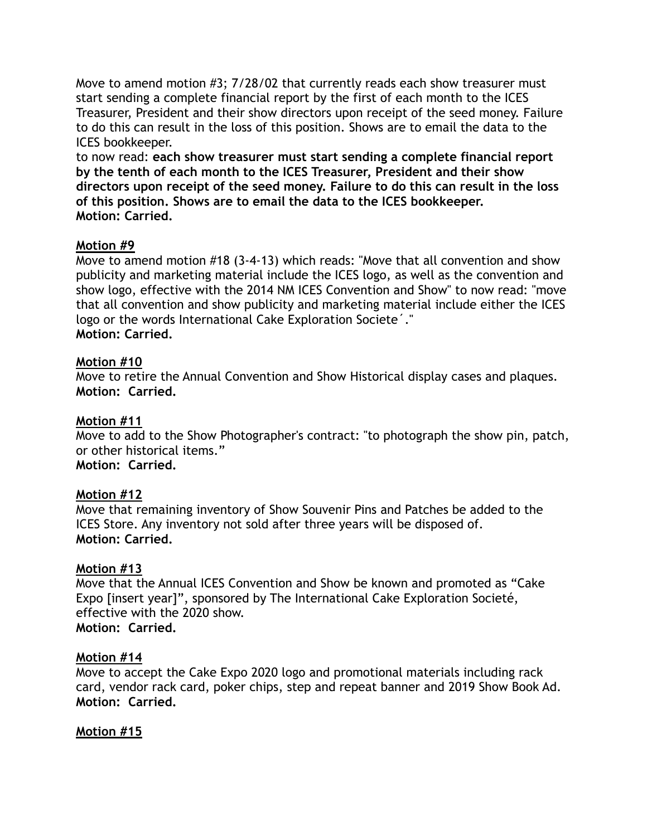Move to amend motion #3; 7/28/02 that currently reads each show treasurer must start sending a complete financial report by the first of each month to the ICES Treasurer, President and their show directors upon receipt of the seed money. Failure to do this can result in the loss of this position. Shows are to email the data to the ICES bookkeeper.

to now read: **each show treasurer must start sending a complete financial report by the tenth of each month to the ICES Treasurer, President and their show directors upon receipt of the seed money. Failure to do this can result in the loss of this position. Shows are to email the data to the ICES bookkeeper. Motion: Carried.**

# **Motion #9**

Move to amend motion #18 (3-4-13) which reads: "Move that all convention and show publicity and marketing material include the ICES logo, as well as the convention and show logo, effective with the 2014 NM ICES Convention and Show" to now read: "move that all convention and show publicity and marketing material include either the ICES logo or the words International Cake Exploration Societe´." **Motion: Carried.** 

# **Motion #10**

Move to retire the Annual Convention and Show Historical display cases and plaques. **Motion: Carried.**

# **Motion #11**

Move to add to the Show Photographer's contract: "to photograph the show pin, patch, or other historical items."

**Motion: Carried.**

# **Motion #12**

Move that remaining inventory of Show Souvenir Pins and Patches be added to the ICES Store. Any inventory not sold after three years will be disposed of. **Motion: Carried.**

# **Motion #13**

Move that the Annual ICES Convention and Show be known and promoted as "Cake Expo [insert year]", sponsored by The International Cake Exploration Societé, effective with the 2020 show. **Motion: Carried.**

# **Motion #14**

Move to accept the Cake Expo 2020 logo and promotional materials including rack card, vendor rack card, poker chips, step and repeat banner and 2019 Show Book Ad. **Motion: Carried.**

# **Motion #15**